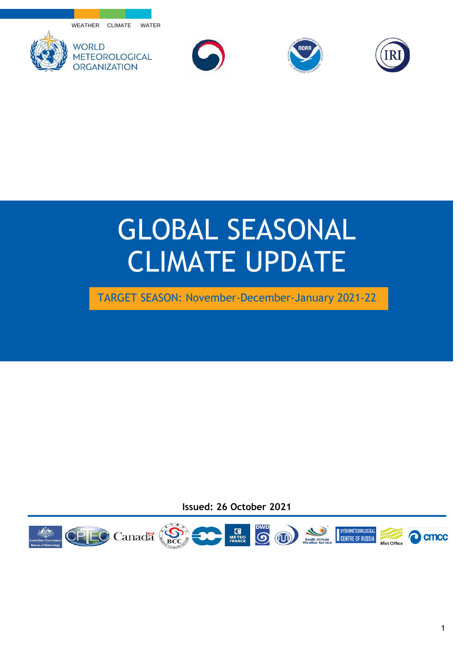WEATHER CLIMATE WATER









## GLOBAL SEASONAL CLIMATE UPDATE

TARGET SEASON: November-December-January 2021-22

**Issued: 26 October 2021**

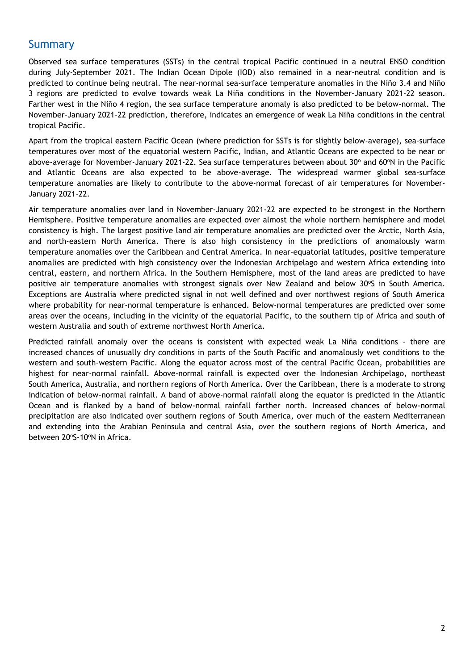## Summary

Observed sea surface temperatures (SSTs) in the central tropical Pacific continued in a neutral ENSO condition during July-September 2021. The Indian Ocean Dipole (IOD) also remained in a near-neutral condition and is predicted to continue being neutral. The near-normal sea-surface temperature anomalies in the Niño 3.4 and Niño 3 regions are predicted to evolve towards weak La Niña conditions in the November-January 2021-22 season. Farther west in the Niño 4 region, the sea surface temperature anomaly is also predicted to be below-normal. The November-January 2021-22 prediction, therefore, indicates an emergence of weak La Niña conditions in the central tropical Pacific.

Apart from the tropical eastern Pacific Ocean (where prediction for SSTs is for slightly below-average), sea-surface temperatures over most of the equatorial western Pacific, Indian, and Atlantic Oceans are expected to be near or above-average for November-January 2021-22. Sea surface temperatures between about 30° and 60°N in the Pacific and Atlantic Oceans are also expected to be above-average. The widespread warmer global sea-surface temperature anomalies are likely to contribute to the above-normal forecast of air temperatures for November-January 2021-22.

Air temperature anomalies over land in November-January 2021-22 are expected to be strongest in the Northern Hemisphere. Positive temperature anomalies are expected over almost the whole northern hemisphere and model consistency is high. The largest positive land air temperature anomalies are predicted over the Arctic, North Asia, and north-eastern North America. There is also high consistency in the predictions of anomalously warm temperature anomalies over the Caribbean and Central America. In near-equatorial latitudes, positive temperature anomalies are predicted with high consistency over the Indonesian Archipelago and western Africa extending into central, eastern, and northern Africa. In the Southern Hemisphere, most of the land areas are predicted to have positive air temperature anomalies with strongest signals over New Zealand and below 30°S in South America. Exceptions are Australia where predicted signal in not well defined and over northwest regions of South America where probability for near-normal temperature is enhanced. Below-normal temperatures are predicted over some areas over the oceans, including in the vicinity of the equatorial Pacific, to the southern tip of Africa and south of western Australia and south of extreme northwest North America.

Predicted rainfall anomaly over the oceans is consistent with expected weak La Niña conditions - there are increased chances of unusually dry conditions in parts of the South Pacific and anomalously wet conditions to the western and south-western Pacific. Along the equator across most of the central Pacific Ocean, probabilities are highest for near-normal rainfall. Above-normal rainfall is expected over the Indonesian Archipelago, northeast South America, Australia, and northern regions of North America. Over the Caribbean, there is a moderate to strong indication of below-normal rainfall. A band of above-normal rainfall along the equator is predicted in the Atlantic Ocean and is flanked by a band of below-normal rainfall farther north. Increased chances of below-normal precipitation are also indicated over southern regions of South America, over much of the eastern Mediterranean and extending into the Arabian Peninsula and central Asia, over the southern regions of North America, and between 20°S-10°N in Africa.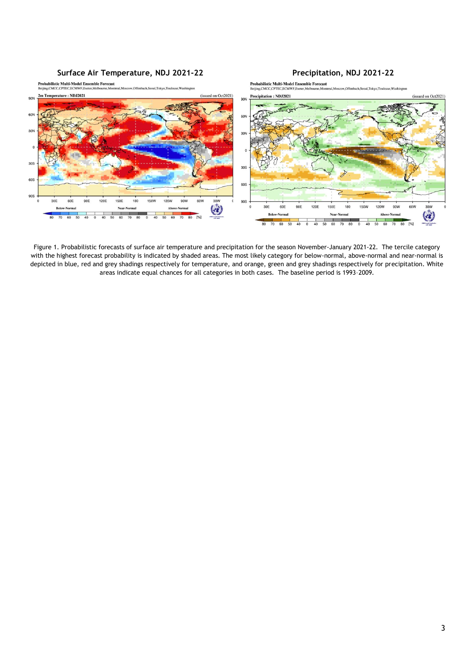

Figure 1. Probabilistic forecasts of surface air temperature and precipitation for the season November-January 2021-22. The tercile category with the highest forecast probability is indicated by shaded areas. The most likely category for below-normal, above-normal and near-normal is depicted in blue, red and grey shadings respectively for temperature, and orange, green and grey shadings respectively for precipitation. White areas indicate equal chances for all categories in both cases. The baseline period is 1993–2009.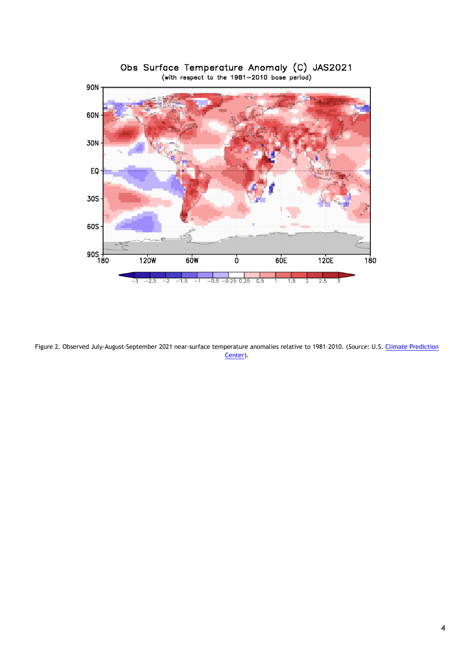

Obs Surface Temperature Anomaly (C) JAS2021<br>(with respect to the 1981-2010 base period)

Figure 2. Observed July-August-September 2021 near-surface temperature anomalies relative to 1981–2010. (*Source:* U.S. [Climate Prediction](https://www.cpc.ncep.noaa.gov/)  [Center\)](https://www.cpc.ncep.noaa.gov/).